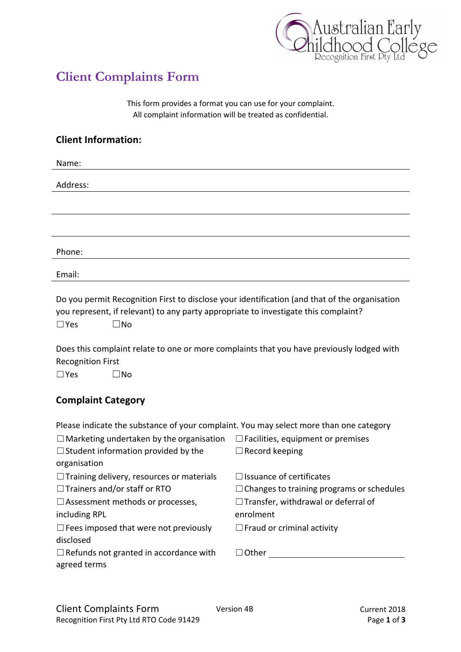

## **Client Complaints Form**

This form provides a format you can use for your complaint. All complaint information will be treated as confidential.

## **Client Information:**

| Name:    |  |
|----------|--|
|          |  |
| Address: |  |
|          |  |
|          |  |
|          |  |
|          |  |
|          |  |
| Phone:   |  |
|          |  |
| Email:   |  |

Do you permit Recognition First to disclose your identification (and that of the organisation you represent, if relevant) to any party appropriate to investigate this complaint? ☐Yes ☐No

Does this complaint relate to one or more complaints that you have previously lodged with Recognition First

☐Yes ☐No

## **Complaint Category**

Please indicate the substance of your complaint. You may select more than one category

| $\Box$ Marketing undertaken by the organisation  | $\Box$ Facilities, equipment or premises         |
|--------------------------------------------------|--------------------------------------------------|
| $\Box$ Student information provided by the       | $\Box$ Record keeping                            |
| organisation                                     |                                                  |
| $\Box$ Training delivery, resources or materials | $\Box$ Issuance of certificates                  |
| $\Box$ Trainers and/or staff or RTO              | $\Box$ Changes to training programs or schedules |
| $\Box$ Assessment methods or processes,          | $\Box$ Transfer, withdrawal or deferral of       |
| including RPL                                    | enrolment                                        |
| $\Box$ Fees imposed that were not previously     | $\Box$ Fraud or criminal activity                |
| disclosed                                        |                                                  |
| $\Box$ Refunds not granted in accordance with    | $\Box$ Other                                     |
| agreed terms                                     |                                                  |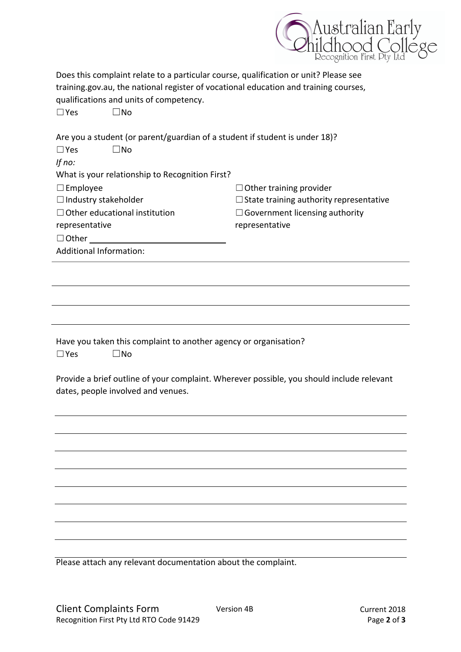

| Does this complaint relate to a particular course, qualification or unit? Please see<br>training.gov.au, the national register of vocational education and training courses,<br>qualifications and units of competency.<br>$\square$ No<br>$\Box$ Yes |                                                |  |  |
|-------------------------------------------------------------------------------------------------------------------------------------------------------------------------------------------------------------------------------------------------------|------------------------------------------------|--|--|
| Are you a student (or parent/guardian of a student if student is under 18)?<br>$\square$ No<br>$\Box$ Yes<br>If no:                                                                                                                                   |                                                |  |  |
| What is your relationship to Recognition First?                                                                                                                                                                                                       |                                                |  |  |
| $\square$ Employee                                                                                                                                                                                                                                    | $\Box$ Other training provider                 |  |  |
| $\Box$ Industry stakeholder                                                                                                                                                                                                                           | $\Box$ State training authority representative |  |  |
| $\Box$ Other educational institution                                                                                                                                                                                                                  | $\Box$ Government licensing authority          |  |  |
| representative                                                                                                                                                                                                                                        | representative                                 |  |  |
| $\Box$ Other                                                                                                                                                                                                                                          |                                                |  |  |
| <b>Additional Information:</b>                                                                                                                                                                                                                        |                                                |  |  |
|                                                                                                                                                                                                                                                       |                                                |  |  |
|                                                                                                                                                                                                                                                       |                                                |  |  |
|                                                                                                                                                                                                                                                       |                                                |  |  |
| Have you taken this complaint to another agency or organisation?<br>$\square$ No<br>$\square$ Yes                                                                                                                                                     |                                                |  |  |
| Provide a brief outline of your complaint. Wherever possible, you should include relevant<br>dates, people involved and venues.                                                                                                                       |                                                |  |  |
|                                                                                                                                                                                                                                                       |                                                |  |  |
|                                                                                                                                                                                                                                                       |                                                |  |  |
|                                                                                                                                                                                                                                                       |                                                |  |  |
|                                                                                                                                                                                                                                                       |                                                |  |  |
|                                                                                                                                                                                                                                                       |                                                |  |  |
|                                                                                                                                                                                                                                                       |                                                |  |  |
|                                                                                                                                                                                                                                                       |                                                |  |  |
|                                                                                                                                                                                                                                                       |                                                |  |  |
| Please attach any relevant documentation about the complaint.                                                                                                                                                                                         |                                                |  |  |